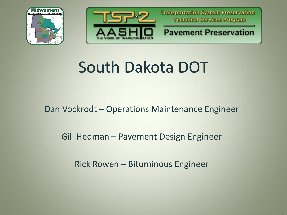



#### **Pavement Preservation**

# South Dakota DOT

### Dan Vockrodt – Operations Maintenance Engineer

### Gill Hedman – Pavement Design Engineer

Rick Rowen – Bituminous Engineer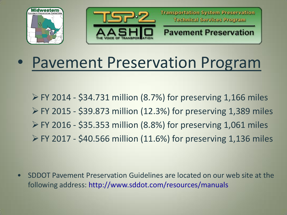



**Pavement Preservation** 

## • Pavement Preservation Program

 $\triangleright$  FY 2014 - \$34.731 million (8.7%) for preserving 1,166 miles  $\triangleright$  FY 2015 - \$39.873 million (12.3%) for preserving 1,389 miles  $\triangleright$  FY 2016 - \$35.353 million (8.8%) for preserving 1,061 miles FY 2017 - \$40.566 million (11.6%) for preserving 1,136 miles

• SDDOT Pavement Preservation Guidelines are located on our web site at the following address: http://www.sddot.com/resources/manuals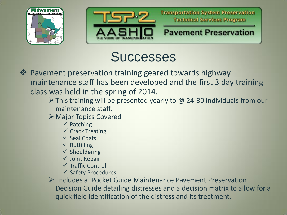



## **Successes**

- **Example 18 Ferry 2018** Pavement preservation training geared towards highway maintenance staff has been developed and the first 3 day training class was held in the spring of 2014.
	- $\triangleright$  This training will be presented yearly to @ 24-30 individuals from our maintenance staff.
	- Major Topics Covered
		- $\checkmark$  Patching
		- $\checkmark$  Crack Treating
		- $\checkmark$  Seal Coats
		- $\checkmark$  Rutfilling
		- $\checkmark$  Shouldering
		- $\checkmark$  Joint Repair
		- $\checkmark$  Traffic Control
		- $\checkmark$  Safety Procedures
	- $\triangleright$  Includes a Pocket Guide Maintenance Pavement Preservation Decision Guide detailing distresses and a decision matrix to allow for a quick field identification of the distress and its treatment.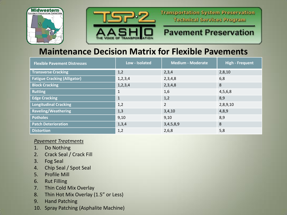



#### **Pavement Preservation**

#### **Maintenance Decision Matrix for Flexible Pavements**

| <b>Flexible Pavement Distresses</b> | Low - Isolated | <b>Medium - Moderate</b> | <b>High - Frequent</b> |
|-------------------------------------|----------------|--------------------------|------------------------|
| <b>Transverse Cracking</b>          | 1,2            | 2,3,4                    | 2,8,10                 |
| <b>Fatigue Cracking (Alligator)</b> | 1, 2, 3, 4     | 2,3,4,8                  | 6,8                    |
| <b>Block Cracking</b>               | 1, 2, 3, 4     | 2,3,4,8                  | 8                      |
| <b>Rutting</b>                      | $\mathbf{1}$   | 1,6                      | 4,5,6,8                |
| <b>Edge Cracking</b>                | $\mathbf{1}$   | 1,2                      | 8,9                    |
| <b>Longitudinal Cracking</b>        | 1,2            | $\overline{2}$           | 2,8,9,10               |
| <b>Raveling/Weathering</b>          | 1,3            | 3,4,10                   | 4,8,9                  |
| <b>Potholes</b>                     | 9,10           | 9,10                     | 8,9                    |
| <b>Patch Deterioration</b>          | 1,3,4          | 3,4,5,8,9                | 8                      |
| <b>Distortion</b>                   | 1,2            | 2,6,8                    | 5,8                    |

#### *Pavement Treatments*

- 1. Do Nothing
- 2. Crack Seal / Crack Fill
- 3. Fog Seal
- 4. Chip Seal / Spot Seal
- 5. Profile Mill
- 6. Rut Filling
- 7. Thin Cold Mix Overlay
- 8. Thin Hot Mix Overlay (1.5" or Less)
- 9. Hand Patching
- 10. Spray Patching (Asphalite Machine)